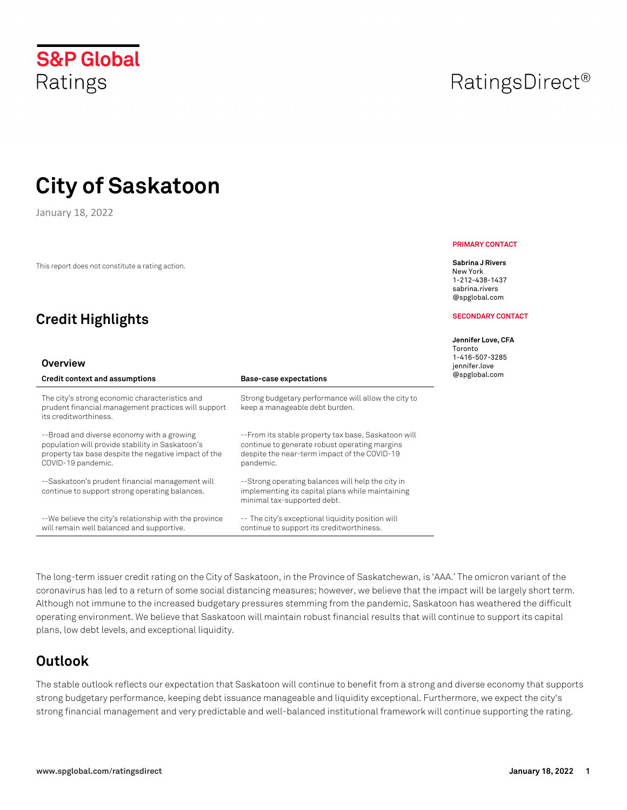January 18, 2022

This report does not constitute a rating action.

# **Credit Highlights**

#### **Overview**

| Credit context and assumptions                                                                                                                                               | <b>Base-case expectations</b>                                                                                                                                     |
|------------------------------------------------------------------------------------------------------------------------------------------------------------------------------|-------------------------------------------------------------------------------------------------------------------------------------------------------------------|
| The city's strong economic characteristics and<br>prudent financial management practices will support<br>its creditworthiness.                                               | Strong budgetary performance will allow the city to<br>keep a manageable debt burden.                                                                             |
| --Broad and diverse economy with a growing<br>population will provide stability in Saskatoon's<br>property tax base despite the negative impact of the<br>COVID-19 pandemic. | --From its stable property tax base, Saskatoon will<br>continue to generate robust operating margins<br>despite the near-term impact of the COVID-19<br>pandemic. |
| --Saskatoon's prudent financial management will<br>continue to support strong operating balances.                                                                            | --Strong operating balances will help the city in<br>implementing its capital plans while maintaining<br>minimal tax-supported debt.                              |
| --We believe the city's relationship with the province<br>will remain well balanced and supportive.                                                                          | -- The city's exceptional liquidity position will<br>continue to support its creditworthiness.                                                                    |

The long-term issuer credit rating on the City of Saskatoon, in the Province of Saskatchewan, is 'AAA.' The omicron variant of the coronavirus has led to a return of some social distancing measures; however, we believe that the impact will be largely short term. Although not immune to the increased budgetary pressures stemming from the pandemic, Saskatoon has weathered the difficult operating environment. We believe that Saskatoon will maintain robust financial results that will continue to support its capital plans, low debt levels, and exceptional liquidity.

# **Outlook**

The stable outlook reflects our expectation that Saskatoon will continue to benefit from a strong and diverse economy that supports strong budgetary performance, keeping debt issuance manageable and liquidity exceptional. Furthermore, we expect the city's strong financial management and very predictable and well-balanced institutional framework will continue supporting the rating.

#### **PRIMARY CONTACT**

**Sabrina J Rivers** New York 1-212-438-1437 sabrina.rivers @spglobal.com

#### **SECONDARY CONTACT**

#### **Jennifer Love, CFA**

Toronto 1-416-507-3285 jennifer.love @spglobal.com



# RatingsDirect<sup>®</sup>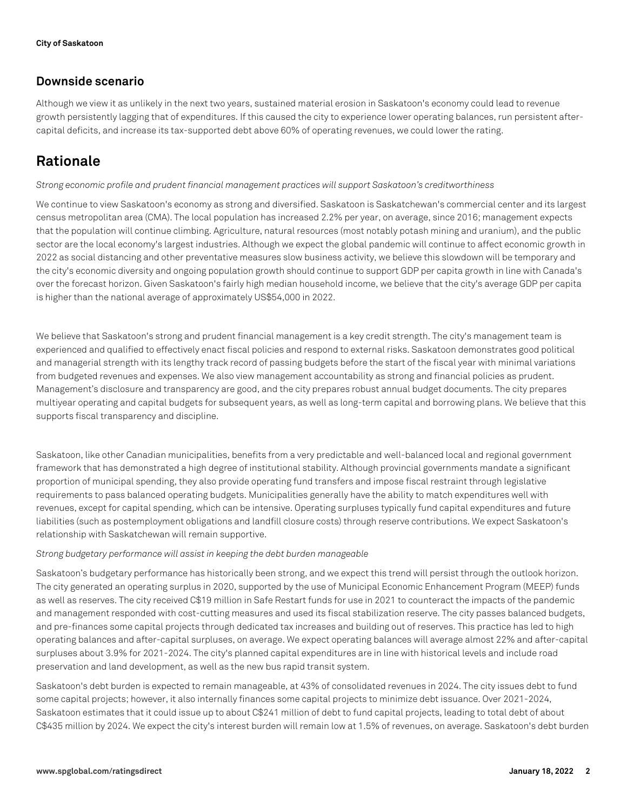### **Downside scenario**

Although we view it as unlikely in the next two years, sustained material erosion in Saskatoon's economy could lead to revenue growth persistently lagging that of expenditures. If this caused the city to experience lower operating balances, run persistent aftercapital deficits, and increase its tax-supported debt above 60% of operating revenues, we could lower the rating.

# **Rationale**

#### *Strong economic profile and prudent financial management practices will support Saskatoon's creditworthiness*

We continue to view Saskatoon's economy as strong and diversified. Saskatoon is Saskatchewan's commercial center and its largest census metropolitan area (CMA). The local population has increased 2.2% per year, on average, since 2016; management expects that the population will continue climbing. Agriculture, natural resources (most notably potash mining and uranium), and the public sector are the local economy's largest industries. Although we expect the global pandemic will continue to affect economic growth in 2022 as social distancing and other preventative measures slow business activity, we believe this slowdown will be temporary and the city's economic diversity and ongoing population growth should continue to support GDP per capita growth in line with Canada's over the forecast horizon. Given Saskatoon's fairly high median household income, we believe that the city's average GDP per capita is higher than the national average of approximately US\$54,000 in 2022.

We believe that Saskatoon's strong and prudent financial management is a key credit strength. The city's management team is experienced and qualified to effectively enact fiscal policies and respond to external risks. Saskatoon demonstrates good political and managerial strength with its lengthy track record of passing budgets before the start of the fiscal year with minimal variations from budgeted revenues and expenses. We also view management accountability as strong and financial policies as prudent. Management's disclosure and transparency are good, and the city prepares robust annual budget documents. The city prepares multiyear operating and capital budgets for subsequent years, as well as long-term capital and borrowing plans. We believe that this supports fiscal transparency and discipline.

Saskatoon, like other Canadian municipalities, benefits from a very predictable and well-balanced local and regional government framework that has demonstrated a high degree of institutional stability. Although provincial governments mandate a significant proportion of municipal spending, they also provide operating fund transfers and impose fiscal restraint through legislative requirements to pass balanced operating budgets. Municipalities generally have the ability to match expenditures well with revenues, except for capital spending, which can be intensive. Operating surpluses typically fund capital expenditures and future liabilities (such as postemployment obligations and landfill closure costs) through reserve contributions. We expect Saskatoon's relationship with Saskatchewan will remain supportive.

#### *Strong budgetary performance will assist in keeping the debt burden manageable*

Saskatoon's budgetary performance has historically been strong, and we expect this trend will persist through the outlook horizon. The city generated an operating surplus in 2020, supported by the use of Municipal Economic Enhancement Program (MEEP) funds as well as reserves. The city received C\$19 million in Safe Restart funds for use in 2021 to counteract the impacts of the pandemic and management responded with cost-cutting measures and used its fiscal stabilization reserve. The city passes balanced budgets, and pre-finances some capital projects through dedicated tax increases and building out of reserves. This practice has led to high operating balances and after-capital surpluses, on average. We expect operating balances will average almost 22% and after-capital surpluses about 3.9% for 2021-2024. The city's planned capital expenditures are in line with historical levels and include road preservation and land development, as well as the new bus rapid transit system.

Saskatoon's debt burden is expected to remain manageable, at 43% of consolidated revenues in 2024. The city issues debt to fund some capital projects; however, it also internally finances some capital projects to minimize debt issuance. Over 2021-2024, Saskatoon estimates that it could issue up to about C\$241 million of debt to fund capital projects, leading to total debt of about C\$435 million by 2024. We expect the city's interest burden will remain low at 1.5% of revenues, on average. Saskatoon's debt burden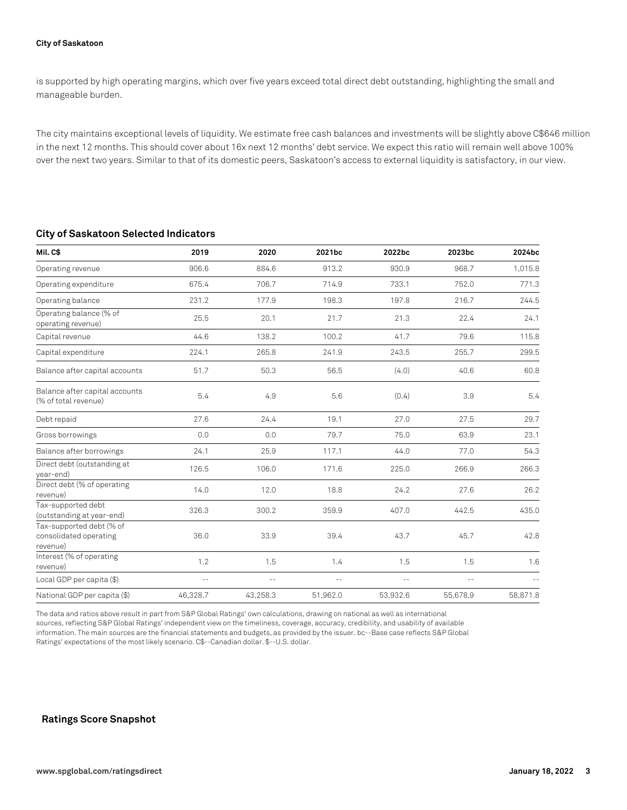is supported by high operating margins, which over five years exceed total direct debt outstanding, highlighting the small and manageable burden.

The city maintains exceptional levels of liquidity. We estimate free cash balances and investments will be slightly above C\$646 million in the next 12 months. This should cover about 16x next 12 months' debt service. We expect this ratio will remain well above 100% over the next two years. Similar to that of its domestic peers, Saskatoon's access to external liquidity is satisfactory, in our view.

#### **City of Saskatoon Selected Indicators**

| Mil.C\$                                                        | 2019     | 2020     | 2021bc   | 2022bc   | 2023bc            | 2024bc   |
|----------------------------------------------------------------|----------|----------|----------|----------|-------------------|----------|
| Operating revenue                                              | 906.6    | 884.6    | 913.2    | 930.9    | 968.7             | 1,015.8  |
| Operating expenditure                                          | 675.4    | 706.7    | 714.9    | 733.1    | 752.0             | 771.3    |
| Operating balance                                              | 231.2    | 177.9    | 198.3    | 197.8    | 216.7             | 244.5    |
| Operating balance (% of<br>operating revenue)                  | 25.5     | 20.1     | 21.7     | 21.3     | 22.4              | 24.1     |
| Capital revenue                                                | 44.6     | 138.2    | 100.2    | 41.7     | 79.6              | 115.8    |
| Capital expenditure                                            | 224.1    | 265.8    | 241.9    | 243.5    | 255.7             | 299.5    |
| Balance after capital accounts                                 | 51.7     | 50.3     | 56.5     | (4.0)    | 40.6              | 60.8     |
| Balance after capital accounts<br>(% of total revenue)         | 5.4      | 4.9      | 5.6      | (0.4)    | 3.9               | 5.4      |
| Debt repaid                                                    | 27.6     | 24.4     | 19.1     | 27.0     | 27.5              | 29.7     |
| Gross borrowings                                               | 0.0      | 0.0      | 79.7     | 75.0     | 63.9              | 23.1     |
| Balance after borrowings                                       | 24.1     | 25.9     | 117.1    | 44.0     | 77.0              | 54.3     |
| Direct debt (outstanding at<br>year-end)                       | 126.5    | 106.0    | 171.6    | 225.0    | 266.9             | 266.3    |
| Direct debt (% of operating<br>revenue)                        | 14.0     | 12.0     | 18.8     | 24.2     | 27.6              | 26.2     |
| Tax-supported debt<br>(outstanding at year-end)                | 326.3    | 300.2    | 359.9    | 407.0    | 442.5             | 435.0    |
| Tax-supported debt (% of<br>consolidated operating<br>revenue) | 36.0     | 33.9     | 39.4     | 43.7     | 45.7              | 42.8     |
| Interest (% of operating<br>revenue)                           | 1.2      | 1.5      | 1.4      | 1.5      | 1.5               | 1.6      |
| Local GDP per capita (\$)                                      | $ -$     | $- -$    | $- -$    | $ -$     | $\qquad \qquad -$ |          |
| National GDP per capita (\$)                                   | 46,328.7 | 43,258.3 | 51,962.0 | 53,932.6 | 55,678.9          | 58,871.8 |

The data and ratios above result in part from S&P Global Ratings' own calculations, drawing on national as well as international sources, reflecting S&P Global Ratings' independent view on the timeliness, coverage, accuracy, credibility, and usability of available information. The main sources are the financial statements and budgets, as provided by the issuer. bc--Base case reflects S&P Global Ratings' expectations of the most likely scenario. C\$--Canadian dollar. \$--U.S. dollar.

#### **Ratings Score Snapshot**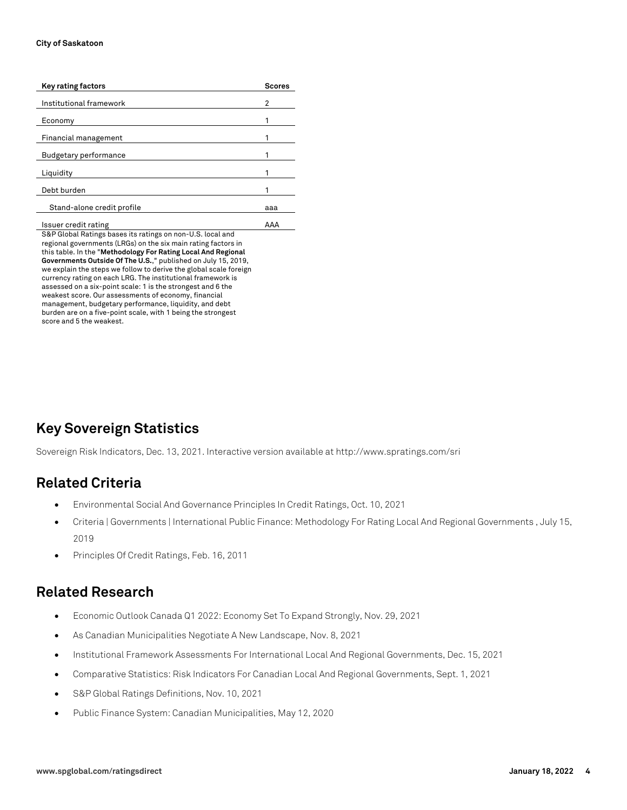| Key rating factors           | <b>Scores</b> |
|------------------------------|---------------|
| Institutional framework      | 2             |
| Economy                      |               |
| Financial management         |               |
| <b>Budgetary performance</b> |               |
| Liquidity                    |               |
| Debt burden                  |               |
| Stand-alone credit profile   | aaa           |
|                              |               |

Issuer credit rating AAA S&P Global Ratings bases its ratings on non-U.S. local and regional governments (LRGs) on the six main rating factors in this table. In the "**Methodology For Rating Local And Regional Governments Outside Of The U.S.**," published on July 15, 2019, we explain the steps we follow to derive the global scale foreign currency rating on each LRG. The institutional framework is assessed on a six-point scale: 1 is the strongest and 6 the weakest score. Our assessments of economy, financial management, budgetary performance, liquidity, and debt burden are on a five-point scale, with 1 being the strongest score and 5 the weakest.

# **Key Sovereign Statistics**

Sovereign Risk Indicators, Dec. 13, 2021. Interactive version available at http://www.spratings.com/sri

### **Related Criteria**

- Environmental Social And Governance Principles In Credit Ratings, Oct. 10, 2021
- Criteria | Governments | International Public Finance: Methodology For Rating Local And Regional Governments , July 15, 2019
- Principles Of Credit Ratings, Feb. 16, 2011

# **Related Research**

- Economic Outlook Canada Q1 2022: Economy Set To Expand Strongly, Nov. 29, 2021
- As Canadian Municipalities Negotiate A New Landscape, Nov. 8, 2021
- Institutional Framework Assessments For International Local And Regional Governments, Dec. 15, 2021
- Comparative Statistics: Risk Indicators For Canadian Local And Regional Governments, Sept. 1, 2021
- S&P Global Ratings Definitions, Nov. 10, 2021
- Public Finance System: Canadian Municipalities, May 12, 2020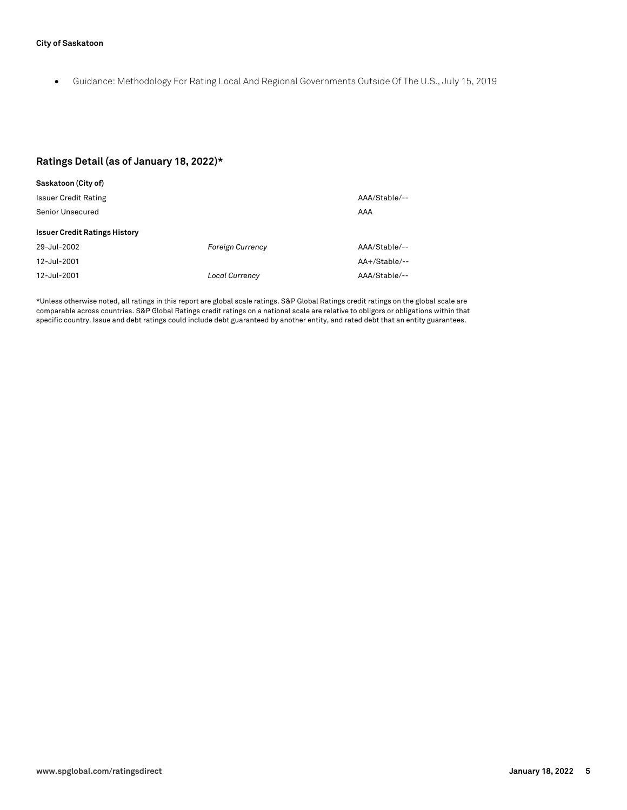• Guidance: Methodology For Rating Local And Regional Governments Outside Of The U.S., July 15, 2019

#### **Ratings Detail (as of January 18, 2022)\***

| Saskatoon (City of)                  |                         |                 |  |  |  |  |
|--------------------------------------|-------------------------|-----------------|--|--|--|--|
| <b>Issuer Credit Rating</b>          |                         | AAA/Stable/--   |  |  |  |  |
| Senior Unsecured                     |                         | AAA             |  |  |  |  |
| <b>Issuer Credit Ratings History</b> |                         |                 |  |  |  |  |
| 29-Jul-2002                          | <b>Foreign Currency</b> | AAA/Stable/--   |  |  |  |  |
| 12-Jul-2001                          |                         | $AA+/Stable/--$ |  |  |  |  |
| 12-Jul-2001                          | <b>Local Currency</b>   | AAA/Stable/--   |  |  |  |  |

\*Unless otherwise noted, all ratings in this report are global scale ratings. S&P Global Ratings credit ratings on the global scale are comparable across countries. S&P Global Ratings credit ratings on a national scale are relative to obligors or obligations within that specific country. Issue and debt ratings could include debt guaranteed by another entity, and rated debt that an entity guarantees.